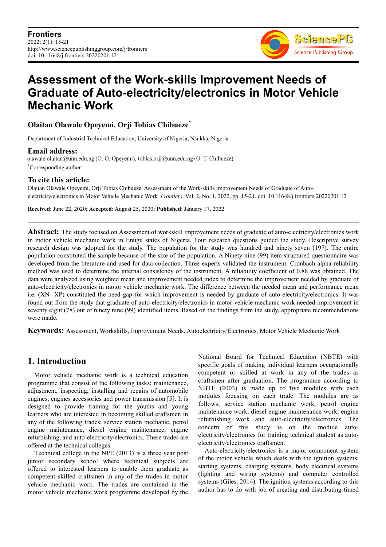

# **Assessment of the Work-skills Improvement Needs of Graduate of Auto-electricity/electronics in Motor Vehicle Mechanic Work**

### **Olaitan Olawale Opeyemi, Orji Tobias Chibueze\***

Department of Industrial Technical Education, University of Nigeria, Nsukka, Nigeria

**Email address:**<br>olawale.olaitan@unn.edu.ng (O. O. Opeyemi), tobias.orji@unn.edu.ng (O. T. Chibueze)

\*Corresponding author

#### **To cite this article:**

Olaitan Olawale Opeyemi, Orji Tobias Chibueze. Assessment of the Work-skills improvement Needs of Graduate of Autoelectricity/electronics in Motor Vehicle Mechanic Work. *Frontiers*. Vol. 2, No. 1, 2022, pp. 15-21. doi: 10.11648/j.frontiers.20220201.12

**Received**: June 22, 2020; **Accepted**: August 25, 2020; **Published**: January 17, 2022

**Abstract:** The study focused on Assessment of workskill improvement needs of graduate of auto-electricity/electronics work in motor vehicle mechanic work in Enugu states of Nigeria. Four research questions guided the study. Descriptive survey research design was adopted for the study. The population for the study was hundred and ninety seven (197). The entire population constituted the sample because of the size of the population. A Ninety nine (99) item structured questionnaire was developed from the literature and used for data collection. Three experts validated the instrument. Cronbach alpha reliability method was used to determine the internal consistency of the instrument. A reliability coefficient of 0.88 was obtained. The data were analyzed using weighted mean and improvement needed index to determine the improvement needed by graduate of auto-electricity/electronics in motor vehicle mechanic work. The difference between the needed mean and performance mean i.e. (XN- XP) constituted the need gap for which improvement is needed by graduate of auto-electricity/electronics. It was found out from the study that graduate of auto-electricity/electronics in motor vehicle mechanic work needed improvement in seventy eight (78) out of ninety nine (99) identified items. Based on the findings from the study, appropriate recommendations were made.

**Keywords:** Assessment, Workskills, Improvement Needs, Autoelectricity/Electronics, Motor Vehicle Mechanic Work

# **1. Introduction**

Motor vehicle mechanic work is a technical education programme that consist of the following tasks; maintenance, adjustment, inspecting, installing and repairs of automobile engines, engines accessories and power transmission [5]. It is designed to provide training for the youths and young learners who are interested in becoming skilled craftsmen in any of the following trades; service station mechanic, petrol engine maintenance, diesel engine maintenance, engine refurbishing, and auto-electricity/electronics. These trades are offered at the technical colleges.

Technical college in the NPE (2013) is a three year post junior secondary school where technical subjects are offered to interested learners to enable them graduate as competent skilled craftsmen in any of the trades in motor vehicle mechanic work. The trades are contained in the motor vehicle mechanic work programme developed by the National Board for Technical Education (NBTE) with specific goals of making individual learners occupationally competent or skilled at work in any of the trades as craftsmen after graduation. The programme according to NBTE (2003) is made up of five modules with each modules focusing on each trade. The modules are as follows; service station mechanic work, petrol engine maintenance work, diesel engine maintenance work, engine refurbishing work and auto-electricity/electronics. The concern of this study is on the module autoelectricity/electronics for training technical student as autoelectricity/electronics craftsmen.

Auto-electricity/electronics is a major component system of the motor vehicle which deals with the ignition systems, starting systems, charging systems, body electrical systems (lighting and wiring systems) and computer controlled systems (Giles, 2014). The ignition systems according to this author has to do with job of creating and distributing timed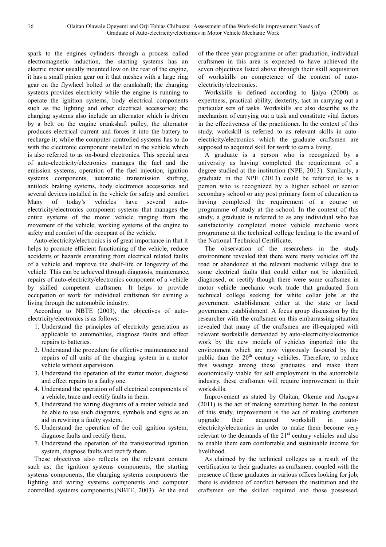spark to the engines cylinders through a process called electromagnetic induction, the starting systems has an electric motor usually mounted low on the rear of the engine, it has a small pinion gear on it that meshes with a large ring gear on the flywheel bolted to the crankshaft; the charging systems provides electricity while the engine is running to operate the ignition systems, body electrical components such as the lighting and other electrical accessories; the charging systems also include an alternator which is driven by a belt on the engine crankshaft pulley, the alternator produces electrical current and forces it into the battery to recharge it; while the computer controlled systems has to do with the electronic component installed in the vehicle which is also referred to as on-board electronics. This special area of auto-electricity/electronics manages the fuel and the emission systems, operation of the fuel injection, ignition systems components, automatic transmission shifting, antilock braking systems, body electronics accessories and several devices installed in the vehicle for safety and comfort. Many of today's vehicles have several autoelectricity/electronics component systems that manages the entire systems of the motor vehicle ranging from the movement of the vehicle, working systems of the engine to safety and comfort of the occupant of the vehicle.

Auto-electricity/electronics is of great importance in that it helps to promote efficient functioning of the vehicle, reduce accidents or hazards emanating from electrical related faults of a vehicle and improve the shelf-life or longevity of the vehicle. This can be achieved through diagnosis, maintenance, repairs of auto-electricity/electronics component of a vehicle by skilled competent craftsmen. It helps to provide occupation or work for individual craftsmen for earning a living through the automobile industry.

According to NBTE (2003), the objectives of autoelectricity/electronics is as follows:

- 1. Understand the principles of electricity generation as applicable to automobiles, diagnose faults and effect repairs to batteries.
- 2. Understand the procedure for effective maintenance and repairs of all units of the charging system in a motor vehicle without supervision.
- 3. Understand the operation of the starter motor, diagnose and effect repairs to a faulty one.
- 4. Understand the operation of all electrical components of a vehicle, trace and rectify faults in them.
- 5. Understand the wiring diagrams of a motor vehicle and be able to use such diagrams, symbols and signs as an aid in rewiring a faulty system.
- 6. Understand the operation of the coil ignition system, diagnose faults and rectify them.
- 7. Understand the operation of the transistorized ignition system, diagnose faults and rectify them.

These objectives also reflects on the relevant content such as; the ignition systems components, the starting systems components, the charging systems components the lighting and wiring systems components and computer controlled systems components.(NBTE, 2003). At the end of the three year programme or after graduation, individual craftsmen in this area is expected to have achieved the seven objectives listed above through their skill acquisition of workskills on competence of the content of autoelectricity/electronics.

Workskills is defined according to Ijaiya (2000) as expertness, practical ability, dexterity, tact in carrying out a particular sets of tasks. Workskills are also describe as the mechanism of carrying out a task and constitute vital factors in the effectiveness of the practitioner. In the context of this study, workskill is referred to as relevant skills in autoelectricity/electronics which the graduate craftsmen are supposed to acquired skill for work to earn a living.

A graduate is a person who is recognized by a university as having completed the requirement of a degree studied at the institution (NPE, 2013). Similarly, a graduate in the NPE (2013) could be referred to as a person who is recognized by a higher school or senior secondary school or any post primary form of education as having completed the requirement of a course or programme of study at the school. In the context of this study, a graduate is referred to as any individual who has satisfactorily completed motor vehicle mechanic work programme at the technical college leading to the award of the National Technical Certificate.

The observation of the researchers in the study environment revealed that there were many vehicles off the road or abandoned at the relevant mechanic village due to some electrical faults that could either not be identified, diagnosed, or rectify though there were some craftsmen in motor vehicle mechanic work trade that graduated from technical college seeking for white collar jobs at the government establishment either at the state or local government establishment. A focus group discussion by the researcher with the craftsmen on this embarrassing situation revealed that many of the craftsmen are ill-equipped with relevant workskills demanded by auto-electricity/electronics work by the new models of vehicles imported into the environment which are now vigorously favoured by the public than the  $20<sup>th</sup>$  century vehicles. Therefore, to reduce this wastage among these graduates, and make them economically viable for self employment in the automobile industry, these craftsmen will require improvement in their workskills.

Improvement as stated by Olaitan, Okeme and Asogwa (2011) is the act of making something better. In the context of this study, improvement is the act of making craftsmen upgrade their acquired workskill in autoelectricity/electronics in order to make them become very relevant to the demands of the  $21<sup>st</sup>$  century vehicles and also to enable them earn comfortable and sustainable income for livelihood.

As claimed by the technical colleges as a result of the certification to their graduates as craftsmen, coupled with the presence of these graduates in various offices looking for job, there is evidence of conflict between the institution and the craftsmen on the skilled required and those possessed,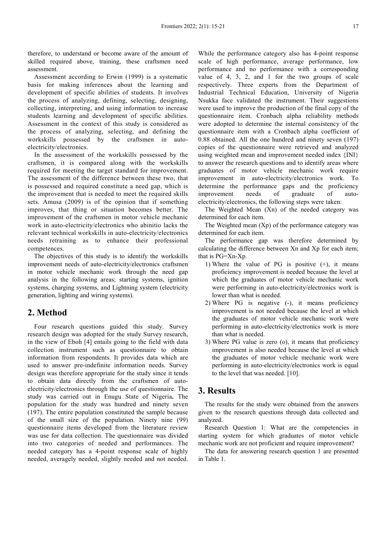therefore, to understand or become aware of the amount of skilled required above, training, these craftsmen need assessment.

Assessment according to Erwin (1999) is a systematic basis for making inferences about the learning and development of specific abilities of students. It involves the process of analyzing, defining, selecting, designing, collecting, interpreting, and using information to increase students learning and development of specific abilities. Assessment in the context of this study is considered as the process of analyzing, selecting, and defining the workskills possessed by the craftsmen in autoelectricity/electronics.

In the assessment of the workskills possessed by the craftsmen, it is compared along with the workskills required for meeting the target standard for improvement. The assessment of the difference between these two, that is possessed and required constitute a need gap, which is the improvement that is needed to meet the required skills sets. Amusa (2009) is of the opinion that if something improves, that thing or situation becomes better. The improvement of the craftsmen in motor vehicle mechanic work in auto-electricity/electronics who abinitio lacks the relevant technical workskills in auto-electricity/electronics needs retraining as to enhance their professional competences.

The objectives of this study is to identify the workskills improvement needs of auto-electricity/electronics craftsmen in motor vehicle mechanic work through the need gap analysis in the following areas; starting systems, ignition systems, charging systems, and Lightning system (electricity generation, lighting and wiring systems).

#### **2. Method**

Four research questions guided this study. Survey research design was adopted for the study Survey research, in the view of Eboh [4] entails going to the field with data collection instrument such as questionnaire to obtain information from respondents. It provides data which are used to answer pre-indefinite information needs. Survey design was therefore appropriate for the study since it tends to obtain data directly from the craftsmen of autoelectricity/electronics through the use of questionnaire. The study was carried out in Enugu State of Nigeria**.** The population for the study was hundred and ninety seven (197). The entire population constituted the sample because of the small size of the population. Ninety nine (99) questionnaire items developed from the literature review was use for data collection. The questionnaire was divided into two categories of needed and performances. The needed category has a 4-point response scale of highly needed, averagely needed, slightly needed and not needed.

While the performance category also has 4-point response scale of high performance, average performance, low performance and no performance with a corresponding value of 4, 3, 2, and 1 for the two groups of scale respectively. Three experts from the Department of Industrial Technical Education, University of Nigeria Nsukka face validated the instrument. Their suggestions were used to improve the production of the final copy of the questionnaire item. Cronbach alpha reliability methods were adopted to determine the internal consistency of the questionnaire item with a Cronbach alpha coefficient of 0.88 obtained. All the one hundred and ninety seven (197) copies of the questionnaire were retrieved and analyzed using weighted mean and improvement needed index {INI} to answer the research questions and to identify areas where graduates of motor vehicle mechanic work require improvement in auto-electricity/electronics work. To determine the performance gaps and the proficiency improvement needs of graduate of autoelectricity/electronics, the following steps were taken:

The Weighted Mean (Xn) of the needed category was determined for each item.

The Weighted mean  $(Xp)$  of the performance category was determined for each item.

The performance gap was therefore determined by calculating the difference between Xn and Xp for each item; that is PG=Xn-Xp.

- 1) Where the value of PG is positive (+), it means proficiency improvement is needed because the level at which the graduates of motor vehicle mechanic work were performing in auto-electricity/electronics work is lower than what is needed.
- 2) Where PG is negative (-), it means proficiency improvement is not needed because the level at which the graduates of motor vehicle mechanic work were performing in auto-electricity/electronics work is more than what is needed.
- 3) Where PG value is zero (o), it means that proficiency improvement is also needed because the level at which the graduates of motor vehicle mechanic work were performing in auto-electricity/electronics work is equal to the level that was needed. [10].

# **3. Results**

The results for the study were obtained from the answers given to the research questions through data collected and analyzed.

Research Question 1: What are the competencies in starting system for which graduates of motor vehicle mechanic work are not proficient and require improvement?

The data for answering research question 1 are presented in Table 1.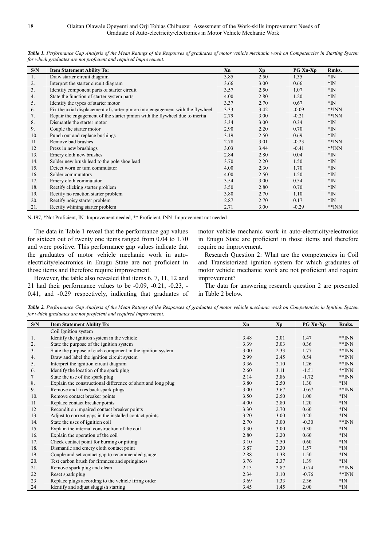| S/N | <b>Item Statement Ability To:</b>                                              | Xn   | Xp   | PG Xn-Xp | Rmks.        |
|-----|--------------------------------------------------------------------------------|------|------|----------|--------------|
| 1.  | Draw starter circuit diagram                                                   | 3.85 | 2.50 | 1.35     | $*IN$        |
| 2.  | Interpret the starter circuit diagram                                          | 3.66 | 3.00 | 0.66     | $*_{\rm IN}$ |
| 3.  | Identify component parts of starter circuit                                    | 3.57 | 2.50 | 1.07     | $*IN$        |
| 4.  | State the function of starter system parts                                     | 4.00 | 2.80 | 1.20     | $*_{\rm IN}$ |
| 5.  | Identify the types of starter motor                                            | 3.37 | 2.70 | 0.67     | $*_{\rm IN}$ |
| 6.  | Fix the axial displacement of starter pinion into engagement with the flywheel | 3.33 | 3.42 | $-0.09$  | $*$ $NN$     |
| 7.  | Repair the engagement of the starter pinion with the flywheel due to inertia   | 2.79 | 3.00 | $-0.21$  | $*$ $NN$     |
| 8.  | Dismantle the starter motor                                                    | 3.34 | 3.00 | 0.34     | $*IN$        |
| 9.  | Couple the starter motor                                                       | 2.90 | 2.20 | 0.70     | $*IN$        |
| 10. | Punch out and replace bushings                                                 | 3.19 | 2.50 | 0.69     | $*IN$        |
| 11  | Remove bad brushes                                                             | 2.78 | 3.01 | $-0.23$  | $*$ $NN$     |
| 12  | Press in new brushings                                                         | 3.03 | 3.44 | $-0.41$  | $*$ $NN$     |
| 13. | Emery cloth new brushes                                                        | 2.84 | 2.80 | 0.04     | $*IN$        |
| 14. | Solder new brush lead to the pole shoe lead                                    | 3.70 | 2.20 | 1.50     | $*_{\rm IN}$ |
| 15. | Detect worn or turn commutator                                                 | 4.00 | 2.30 | 1.70     | $*IN$        |
| 16. | Solder commutators                                                             | 4.00 | 2.50 | 1.50     | $*IN$        |
| 17. | Emery cloth commutator                                                         | 3.54 | 3.00 | 0.54     | $*_{\rm IN}$ |
| 18. | Rectify clicking starter problem                                               | 3.50 | 2.80 | 0.70     | *IN          |
| 19. | Rectify no reaction starter problem                                            | 3.80 | 2.70 | 1.10     | $*IN$        |
| 20. | Rectify noisy starter problem                                                  | 2.87 | 2.70 | 0.17     | $*IN$        |
| 21. | Rectify whining starter problem                                                | 2.71 | 3.00 | $-0.29$  | $*$ $NN$     |

*Table 1. Performance Gap Analysis of the Mean Ratings of the Responses of graduates of motor vehicle mechanic work on Competencies in Starting System for which graduates are not proficient and required Improvement.* 

N-197, \*Not Proficient, IN=Improvement needed, \*\* Proficient, INN=Improvement not needed

The data in Table 1 reveal that the performance gap values for sixteen out of twenty one items ranged from 0.04 to 1.70 and were positive. This performance gap values indicate that the graduates of motor vehicle mechanic work in autoelectricity/electronics in Enugu State are not proficient in those items and therefore require improvement.

However, the table also revealed that items 6, 7, 11, 12 and 21 had their performance values to be -0.09, -0.21, -0.23, - 0.41, and -0.29 respectively, indicating that graduates of motor vehicle mechanic work in auto-electricity/electronics in Enugu State are proficient in those items and therefore require no improvement.

Research Question 2: What are the competencies in Coil and Transistorized ignition system for which graduates of motor vehicle mechanic work are not proficient and require improvement?

The data for answering research question 2 are presented in Table 2 below.

*Table 2. Performance Gap Analysis of the Mean Ratings of the Responses of graduates of motor vehicle mechanic work on Competencies in Ignition System for which graduates are not proficient and required Improvement.* 

| S/N | <b>Item Statement Ability To:</b>                            | Xn   | Xp   | <b>PG Xn-Xp</b> | Rmks.        |
|-----|--------------------------------------------------------------|------|------|-----------------|--------------|
|     | Coil Ignition system                                         |      |      |                 |              |
| 1.  | Identify the ignition system in the vehicle                  | 3.48 | 2.01 | 1.47            | $*$ $NN$     |
| 2.  | State the purpose of the ignition system                     | 3.39 | 3.03 | 0.36            | $*$ $NN$     |
| 3.  | State the purpose of each component in the ignition system   | 3.00 | 2.33 | 1.77            | $*$ KNN      |
| 4.  | Draw and label the ignition circuit system                   | 2.99 | 2.45 | 0.54            | $*$ KNN      |
| 5.  | Interpret the ignition circuit diagram                       | 3.36 | 2.10 | 1.26            | $*$ KNN      |
| 6.  | Identify the location of the spark plug                      | 2.60 | 3.11 | $-1.51$         | $*$ $NN$     |
| 7   | State the use of the spark plug                              | 2.14 | 3.86 | $-1.72$         | $*$ KNN      |
| 8.  | Explain the constructional difference of short and long plug | 3.80 | 2.50 | 1.30            | $*N$         |
| 9.  | Remove and fixes back spark plugs                            | 3.00 | 3.67 | $-0.67$         | $*$ $NN$     |
| 10. | Remove contact breaker points                                | 3.50 | 2.50 | 1.00            | $\rm^*IN$    |
| 11  | Replace contact breaker points                               | 4.00 | 2.80 | 1.20            | $*IN$        |
| 12  | Recondition impaired contact breaker points                  | 3.30 | 2.70 | 0.60            | $*IN$        |
| 13. | Adjust to correct gaps in the installed contact points       | 3.20 | 3.00 | 0.20            | $*N$         |
| 14. | State the uses of ignition coil                              | 2.70 | 3.00 | $-0.30$         | $*$ $NN$     |
| 15. | Explain the internal construction of the coil                | 3.30 | 3.00 | 0.30            | $*N$         |
| 16. | Explain the operation of the coil                            | 2.80 | 2.20 | 0.60            | $*IN$        |
| 17. | Check contact point for burning or pitting                   | 3.10 | 2.50 | 0.60            | $*_{\rm IN}$ |
| 18. | Dismantle and emery cloth contact point                      | 3.87 | 2.30 | 1.57            | $*N$         |
| 19. | Couple and set contact gap to recommended gauge              | 2.88 | 1.38 | 1.50            | $\rm^*IN$    |
| 20. | Test carbon brush for firmness and springiness               | 3.76 | 2.37 | 1.39            | $*IN$        |
| 21. | Remove spark plug and clean                                  | 2.13 | 2.87 | $-0.74$         | $*$ $NN$     |
| 22  | Reset spark plug                                             | 2.34 | 3.10 | $-0.76$         | $*$ KNN      |
| 23  | Replace plugs according to the vehicle firing order          | 3.69 | 1.33 | 2.36            | $*IN$        |
| 24  | Identify and adjust sluggish starting                        | 3.45 | 1.45 | 2.00            | $\rm^*IN$    |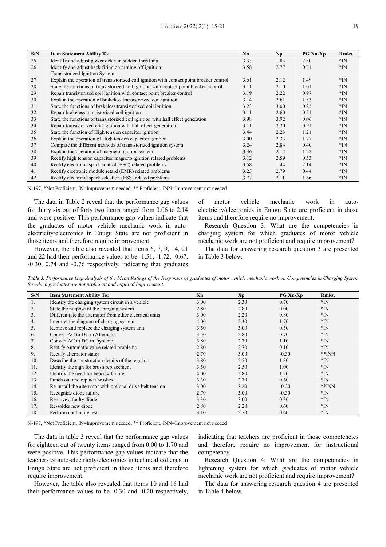| S/N | <b>Item Statement Ability To:</b>                                                        | Xn   | Xp   | <b>PG Xn-Xp</b> | Rmks. |
|-----|------------------------------------------------------------------------------------------|------|------|-----------------|-------|
| 25  | Identify and adjust power delay in sudden throttling                                     | 3.33 | 1.03 | 2.30            | $*IN$ |
| 26  | Identify and adjust back firing on turning off ignition                                  | 3.58 | 2.77 | 0.81            | $*IN$ |
|     | Transistorized Ignition System                                                           |      |      |                 |       |
| 27  | Explain the operation of transistorized coil ignition with contact point breaker control | 3.61 | 2.12 | 1.49            | $*IN$ |
| 28  | State the functions of transistorized coil ignition with contact point breaker control   | 3.11 | 2.10 | 1.01            | $*IN$ |
| 29  | Repair transistorized coil ignition with contact point breaker control                   | 3.19 | 2.22 | 0.97            | $*IN$ |
| 30  | Explain the operation of brakeless transistorized coil ignition                          | 3.14 | 2.61 | 1.53            | $*IN$ |
| 31  | State the functions of brakeless transistorized coil ignition                            | 3.23 | 3.00 | 0.23            | $*IN$ |
| 32  | Repair brakeless transistorized coil ignition                                            | 3.11 | 2.60 | 0.51            | $*IN$ |
| 33  | State the functions of transistorized coil ignition with hall effect generation          | 3.98 | 3.92 | 0.06            | $*IN$ |
| 34  | Repair transistorized coil ignition with hall effect generation                          | 3.11 | 2.20 | 0.91            | $*IN$ |
| 35  | State the function of High tension capacitor ignition                                    | 3.44 | 2.23 | 1.21            | $*IN$ |
| 36  | Explain the operation of High tension capacitor ignition                                 | 3.00 | 2.33 | 1.77            | $*N$  |
| 37  | Compare the different methods of transistorized ignition system                          | 3.24 | 2.84 | 0.40            | $*IN$ |
| 38  | Explain the operation of magneto ignition system                                         | 3.36 | 2.14 | 1.22            | $*IN$ |
| 39  | Rectify high tension capacitor magneto ignition related problems                         | 3.12 | 2.59 | 0.53            | $*IN$ |
| 40  | Rectify electronic spark control (ESC) related problems                                  | 3.58 | 1.44 | 2.14            | $*IN$ |
| 41  | Rectify electronic module retard (EMR) related problems                                  | 3.23 | 2.79 | 0.44            | $*IN$ |
| 42  | Rectify electronic spark selection (ESS) related problems                                | 3.77 | 2.11 | 1.66            | $*IN$ |

N-197, \*Not Proficient, IN=Improvement needed, \*\* Proficient, INN=Improvement not needed

The data in Table 2 reveal that the performance gap values for thirty six out of forty two items ranged from 0.06 to 2.14 and were positive. This performance gap values indicate that the graduates of motor vehicle mechanic work in autoelectricity/electronics in Enugu State are not proficient in those items and therefore require improvement.

However, the table also revealed that items 6, 7, 9, 14, 21 and 22 had their performance values to be -1.51, -1.72, -0.67, -0.30, 0.74 and -0.76 respectively, indicating that graduates of motor vehicle mechanic work in autoelectricity/electronics in Enugu State are proficient in those items and therefore require no improvement.

Research Question 3: What are the competencies in charging system for which graduates of motor vehicle mechanic work are not proficient and require improvement?

The data for answering research question 3 are presented in Table 3 below.

*Table 3. Performance Gap Analysis of the Mean Ratings of the Responses of graduates of motor vehicle mechanic work on Competencies in Charging System for which graduates are not proficient and required Improvement.* 

| S/N | <b>Item Statement Ability To:</b>                          | Xn   | Xp   | <b>PG Xn-Xp</b> | Rmks.    |
|-----|------------------------------------------------------------|------|------|-----------------|----------|
| 1.  | Identify the charging system circuit in a vehicle          | 3.00 | 2.30 | 0.70            | $*IN$    |
| 2.  | State the purpose of the charging system                   | 2.80 | 2.80 | 0.00            | $*IN$    |
| 3.  | Differentiate the alternator from other electrical units   | 3.00 | 2.20 | 0.80            | $*IN$    |
| 4.  | Interpret the diagram of charging system                   | 4.00 | 2.30 | 1.70            | $*IN$    |
| 5.  | Remove and replace the charging system unit                | 3.50 | 3.00 | 0.50            | $*IN$    |
| 6.  | Convert AC to DC in Alternator                             | 3.50 | 2.80 | 0.70            | $*IN$    |
| 7.  | Convert AC to DC in Dynamo                                 | 3.80 | 2.70 | 1.10            | $*IN$    |
| 8.  | Rectify Automatic valve related problems                   | 2.80 | 2.70 | 0.10            | $*IN$    |
| 9.  | Rectify alternator stator                                  | 2.70 | 3.00 | $-0.30$         | $*$ $NN$ |
| 10  | Describe the construction details of the regulator         | 3.80 | 2.50 | 1.30            | $*IN$    |
| 11. | Identify the sign for brush replacement                    | 3.50 | 2.50 | 1.00            | $*IN$    |
| 12. | Identify the need for bearing failure                      | 4.00 | 2.80 | 1.20            | $*IN$    |
| 13. | Punch out and replace brushes                              | 3.30 | 2.70 | 0.60            | $*IN$    |
| 14. | Re-install the alternator with optional drive belt tension | 3.00 | 3.20 | $-0.20$         | $*$ $NN$ |
| 15. | Recognize diode failure                                    | 2.70 | 3.00 | $-0.30$         | $*IN$    |
| 16. | Remove a faulty diode                                      | 3.30 | 3.00 | 0.30            | $*IN$    |
| 17. | Re-solder new diode                                        | 2.80 | 2.20 | 0.60            | $*IN$    |
| 18. | Perform continuity test                                    | 3.10 | 2.50 | 0.60            | $*IN$    |

N-197*,* \*Not Proficient, IN=Improvement needed, \*\* Proficient, INN=Improvement not needed

The data in table 3 reveal that the performance gap values for eighteen out of twenty items ranged from 0.00 to 1.70 and were positive. This performance gap values indicate that the teachers of auto-electricity/electronics in technical colleges in Enugu State are not proficient in those items and therefore require improvement.

However, the table also revealed that items 10 and 16 had their performance values to be -0.30 and -0.20 respectively, indicating that teachers are proficient in those competencies and therefore require no improvement for instructional competency.

Research Question 4: What are the competencies in lightening system for which graduates of motor vehicle mechanic work are not proficient and require improvement?

The data for answering research question 4 are presented in Table 4 below.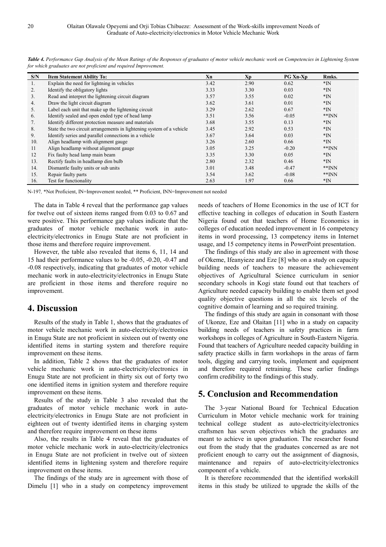| S/N            | <b>Item Statement Ability To:</b>                                    | Xn   | Xp   | <b>PG Xn-Xp</b> | Rmks.    |
|----------------|----------------------------------------------------------------------|------|------|-----------------|----------|
| 1.             | Explain the need for lightning in vehicles                           | 3.42 | 2.90 | 0.62            | $*N$     |
| 2.             | Identify the obligatory lights                                       | 3.33 | 3.30 | 0.03            | $*N$     |
| 3 <sub>1</sub> | Read and interpret the lightening circuit diagram                    | 3.57 | 3.55 | 0.02            | $*N$     |
| 4.             | Draw the light circuit diagram                                       | 3.62 | 3.61 | 0.01            | $*N$     |
| 5.             | Label each unit that make up the lightening circuit                  | 3.29 | 2.62 | 0.67            | $*N$     |
| 6.             | Identify sealed and open ended type of head lamp                     | 3.51 | 3.56 | $-0.05$         | $*$ $NN$ |
| 7.             | Identify different protection measure and materials                  | 3.68 | 3.55 | 0.13            | $*N$     |
| 8.             | State the two circuit arrangements in lightening system of a vehicle | 3.45 | 2.92 | 0.53            | $*IN$    |
| 9.             | Identify series and parallel connections in a vehicle                | 3.67 | 3.64 | 0.03            | $*N$     |
| 10.            | Align headlamp with alignment gauge                                  | 3.26 | 2.60 | 0.66            | $*IN$    |
| 11             | Align headlamp without alignment gauge                               | 3.05 | 3.25 | $-0.20$         | $*$ $NN$ |
| 12             | Fix faulty head lamp main beam                                       | 3.35 | 3.30 | 0.05            | $*IN$    |
| 13.            | Rectify faults in headlamp dim bulb                                  | 2.80 | 2.32 | 0.46            | $*IN$    |
| 14.            | Dismantle faulty units or sub units                                  | 3.01 | 3.48 | $-0.47$         | $*$ NN   |
| 15.            | Repair faulty parts                                                  | 3.54 | 3.62 | $-0.08$         | $*$ $NN$ |
| 16.            | Test for functionality                                               | 2.63 | 1.97 | 0.66            | $*N$     |

*Table 4. Performance Gap Analysis of the Mean Ratings of the Responses of graduates of motor vehicle mechanic work on Competencies in Lightening System for which graduates are not proficient and required Improvement.* 

N-197*,* \*Not Proficient, IN=Improvement needed, \*\* Proficient, INN=Improvement not needed

The data in Table 4 reveal that the performance gap values for twelve out of sixteen items ranged from 0.03 to 0.67 and were positive. This performance gap values indicate that the graduates of motor vehicle mechanic work in autoelectricity/electronics in Enugu State are not proficient in those items and therefore require improvement.

However, the table also revealed that items 6, 11, 14 and 15 had their performance values to be -0.05, -0.20, -0.47 and -0.08 respectively, indicating that graduates of motor vehicle mechanic work in auto-electricity/electronics in Enugu State are proficient in those items and therefore require no improvement.

#### **4. Discussion**

Results of the study in Table 1, shows that the graduates of motor vehicle mechanic work in auto-electricity/electronics in Enugu State are not proficient in sixteen out of twenty one identified items in starting system and therefore require improvement on these items.

In addition, Table 2 shows that the graduates of motor vehicle mechanic work in auto-electricity/electronics in Enugu State are not proficient in thirty six out of forty two one identified items in ignition system and therefore require improvement on these items.

Results of the study in Table 3 also revealed that the graduates of motor vehicle mechanic work in autoelectricity/electronics in Enugu State are not proficient in eighteen out of twenty identified items in charging system and therefore require improvement on these items

Also, the results in Table 4 reveal that the graduates of motor vehicle mechanic work in auto-electricity/electronics in Enugu State are not proficient in twelve out of sixteen identified items in lightening system and therefore require improvement on these items.

The findings of the study are in agreement with those of Dimelu [1] who in a study on competency improvement

needs of teachers of Home Economics in the use of ICT for effective teaching in colleges of education in South Eastern Nigeria found out that teachers of Home Economics in colleges of education needed improvement in 16 competency items in word processing, 13 competency items in Internet usage, and 15 competency items in PowerPoint presentation.

The findings of this study are also in agreement with those of Okeme, Ifeanyieze and Eze [8] who on a study on capacity building needs of teachers to measure the achievement objectives of Agricultural Science curriculum in senior secondary schools in Kogi state found out that teachers of Agriculture needed capacity building to enable them set good quality objective questions in all the six levels of the cognitive domain of learning and so required training.

The findings of this study are again in consonant with those of Ukonze, Eze and Olaitan [11] who in a study on capacity building needs of teachers in safety practices in farm workshops in colleges of Agriculture in South-Eastern Nigeria. Found that teachers of Agriculture needed capacity building in safety practice skills in farm workshops in the areas of farm tools, digging and carrying tools, implement and equipment and therefore required retraining. These earlier findings confirm credibility to the findings of this study.

# **5. Conclusion and Recommendation**

The 3-year National Board for Technical Education Curriculum in Motor vehicle mechanic work for training technical college student as auto-electricity/electronics craftsmen has seven objectives which the graduates are meant to achieve in upon graduation. The researcher found out from the study that the graduates concerned as are not proficient enough to carry out the assignment of diagnosis, maintenance and repairs of auto-electricity/electronics component of a vehicle.

It is therefore recommended that the identified workskill items in this study be utilized to upgrade the skills of the